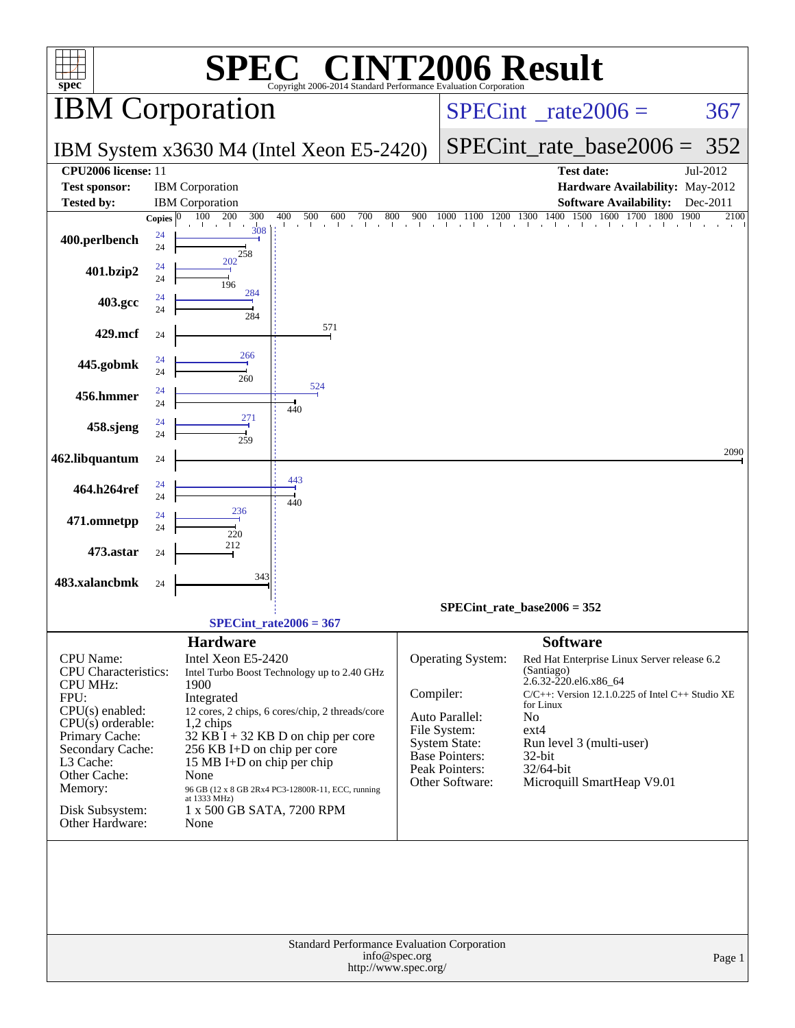| <b>NT2006 Result</b><br>$\blacksquare$<br>SPE<br>spec <sup>®</sup><br>Copyright 2006-2014 Standard Performance Evaluation Corporation                                                                                             |                                                                                                                                                                                                                                                                                                                                                                                                   |                                                                                                                                                        |                                                                                                                                                                                                                                                                                            |                      |  |  |  |  |  |  |
|-----------------------------------------------------------------------------------------------------------------------------------------------------------------------------------------------------------------------------------|---------------------------------------------------------------------------------------------------------------------------------------------------------------------------------------------------------------------------------------------------------------------------------------------------------------------------------------------------------------------------------------------------|--------------------------------------------------------------------------------------------------------------------------------------------------------|--------------------------------------------------------------------------------------------------------------------------------------------------------------------------------------------------------------------------------------------------------------------------------------------|----------------------|--|--|--|--|--|--|
| <b>IBM</b> Corporation                                                                                                                                                                                                            |                                                                                                                                                                                                                                                                                                                                                                                                   |                                                                                                                                                        | $SPECint^{\circ}$ rate $2006 =$<br>367                                                                                                                                                                                                                                                     |                      |  |  |  |  |  |  |
|                                                                                                                                                                                                                                   | IBM System x3630 M4 (Intel Xeon E5-2420)                                                                                                                                                                                                                                                                                                                                                          |                                                                                                                                                        | $SPECint_rate\_base2006 =$                                                                                                                                                                                                                                                                 | 352                  |  |  |  |  |  |  |
| CPU2006 license: 11<br><b>Test sponsor:</b><br><b>Tested by:</b>                                                                                                                                                                  | <b>IBM</b> Corporation<br><b>IBM</b> Corporation                                                                                                                                                                                                                                                                                                                                                  |                                                                                                                                                        | Test date:<br>Hardware Availability: May-2012<br><b>Software Availability:</b>                                                                                                                                                                                                             | Jul-2012<br>Dec-2011 |  |  |  |  |  |  |
| Copies $ 0 $<br>24<br>400.perlbench<br>24<br>24<br>401.bzip2                                                                                                                                                                      | 100<br>200<br>300<br>400<br>500<br>600<br>800<br>700<br>in a chiadhlach<br><b>Line</b><br>308<br>258<br>202                                                                                                                                                                                                                                                                                       | 900                                                                                                                                                    | 1000 1100 1200 1300 1400 1500 1600 1700 1800<br>1900                                                                                                                                                                                                                                       | 2100                 |  |  |  |  |  |  |
| 24<br>24<br>403.gcc<br>24                                                                                                                                                                                                         | 196<br>284                                                                                                                                                                                                                                                                                                                                                                                        |                                                                                                                                                        |                                                                                                                                                                                                                                                                                            |                      |  |  |  |  |  |  |
| 429.mcf<br>24                                                                                                                                                                                                                     | 284<br>571                                                                                                                                                                                                                                                                                                                                                                                        |                                                                                                                                                        |                                                                                                                                                                                                                                                                                            |                      |  |  |  |  |  |  |
| 24<br>445.gobmk<br>24                                                                                                                                                                                                             | 266                                                                                                                                                                                                                                                                                                                                                                                               |                                                                                                                                                        |                                                                                                                                                                                                                                                                                            |                      |  |  |  |  |  |  |
| 24<br>456.hmmer<br>24                                                                                                                                                                                                             | 260<br>524<br>440                                                                                                                                                                                                                                                                                                                                                                                 |                                                                                                                                                        |                                                                                                                                                                                                                                                                                            |                      |  |  |  |  |  |  |
| 24<br>458.sjeng<br>24                                                                                                                                                                                                             | 271<br>259                                                                                                                                                                                                                                                                                                                                                                                        |                                                                                                                                                        |                                                                                                                                                                                                                                                                                            |                      |  |  |  |  |  |  |
| 462.libquantum<br>24                                                                                                                                                                                                              |                                                                                                                                                                                                                                                                                                                                                                                                   |                                                                                                                                                        |                                                                                                                                                                                                                                                                                            | 2090                 |  |  |  |  |  |  |
| 24<br>464.h264ref<br>24                                                                                                                                                                                                           | 443<br>440                                                                                                                                                                                                                                                                                                                                                                                        |                                                                                                                                                        |                                                                                                                                                                                                                                                                                            |                      |  |  |  |  |  |  |
| 24<br>471.omnetpp<br>24                                                                                                                                                                                                           | 236<br>220                                                                                                                                                                                                                                                                                                                                                                                        |                                                                                                                                                        |                                                                                                                                                                                                                                                                                            |                      |  |  |  |  |  |  |
| 473.astar<br>24                                                                                                                                                                                                                   | 212                                                                                                                                                                                                                                                                                                                                                                                               |                                                                                                                                                        |                                                                                                                                                                                                                                                                                            |                      |  |  |  |  |  |  |
| 483.xalancbmk<br>24                                                                                                                                                                                                               | 343                                                                                                                                                                                                                                                                                                                                                                                               |                                                                                                                                                        | $SPECint_rate_base2006 = 352$                                                                                                                                                                                                                                                              |                      |  |  |  |  |  |  |
|                                                                                                                                                                                                                                   | $SPECint_rate2006 = 367$                                                                                                                                                                                                                                                                                                                                                                          |                                                                                                                                                        |                                                                                                                                                                                                                                                                                            |                      |  |  |  |  |  |  |
| CPU Name:<br><b>CPU</b> Characteristics:<br><b>CPU MHz:</b><br>FPU:<br>CPU(s) enabled:<br>$CPU(s)$ orderable:<br>Primary Cache:<br>Secondary Cache:<br>L3 Cache:<br>Other Cache:<br>Memory:<br>Disk Subsystem:<br>Other Hardware: | <b>Hardware</b><br>Intel Xeon E5-2420<br>Intel Turbo Boost Technology up to 2.40 GHz<br>1900<br>Integrated<br>12 cores, 2 chips, 6 cores/chip, 2 threads/core<br>1,2 chips<br>$32$ KB I + 32 KB D on chip per core<br>256 KB I+D on chip per core<br>15 MB I+D on chip per chip<br>None<br>96 GB (12 x 8 GB 2Rx4 PC3-12800R-11, ECC, running<br>at 1333 MHz)<br>1 x 500 GB SATA, 7200 RPM<br>None | <b>Operating System:</b><br>Compiler:<br>Auto Parallel:<br>File System:<br><b>System State:</b><br>Base Pointers:<br>Peak Pointers:<br>Other Software: | <b>Software</b><br>Red Hat Enterprise Linux Server release 6.2<br>(Santiago)<br>2.6.32-220.el6.x86_64<br>$C/C++$ : Version 12.1.0.225 of Intel $C++$ Studio XE<br>for Linux<br>N <sub>o</sub><br>$ext{4}$<br>Run level 3 (multi-user)<br>32-bit<br>32/64-bit<br>Microquill SmartHeap V9.01 |                      |  |  |  |  |  |  |
|                                                                                                                                                                                                                                   | Standard Performance Evaluation Corporation<br>info@spec.org<br>http://www.spec.org/                                                                                                                                                                                                                                                                                                              |                                                                                                                                                        |                                                                                                                                                                                                                                                                                            | Page 1               |  |  |  |  |  |  |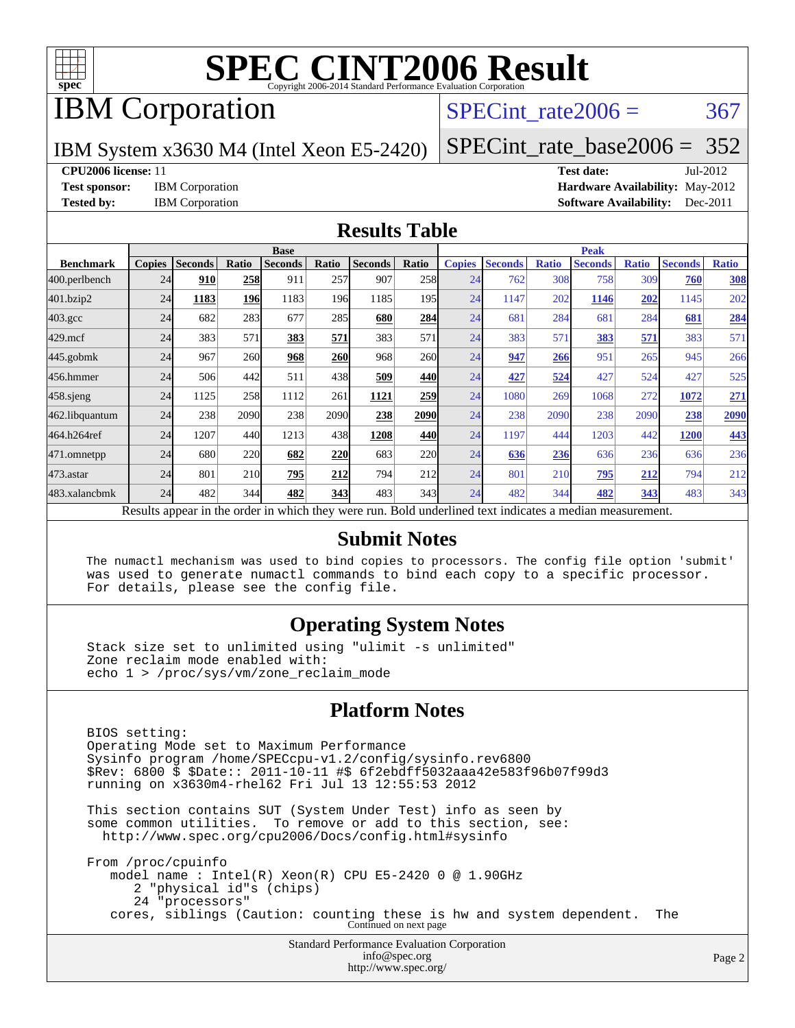

## IBM Corporation

### SPECint rate $2006 = 367$

IBM System x3630 M4 (Intel Xeon E5-2420)

[SPECint\\_rate\\_base2006 =](http://www.spec.org/auto/cpu2006/Docs/result-fields.html#SPECintratebase2006) 352

#### **[CPU2006 license:](http://www.spec.org/auto/cpu2006/Docs/result-fields.html#CPU2006license)** 11 **[Test date:](http://www.spec.org/auto/cpu2006/Docs/result-fields.html#Testdate)** Jul-2012

**[Test sponsor:](http://www.spec.org/auto/cpu2006/Docs/result-fields.html#Testsponsor)** IBM Corporation **[Hardware Availability:](http://www.spec.org/auto/cpu2006/Docs/result-fields.html#HardwareAvailability)** May-2012 **[Tested by:](http://www.spec.org/auto/cpu2006/Docs/result-fields.html#Testedby)** IBM Corporation **[Software Availability:](http://www.spec.org/auto/cpu2006/Docs/result-fields.html#SoftwareAvailability)** Dec-2011

### **[Results Table](http://www.spec.org/auto/cpu2006/Docs/result-fields.html#ResultsTable)**

|                                                                                                          | <b>Base</b>   |                |       |                |            |                | <b>Peak</b> |               |                |              |                |              |                |              |
|----------------------------------------------------------------------------------------------------------|---------------|----------------|-------|----------------|------------|----------------|-------------|---------------|----------------|--------------|----------------|--------------|----------------|--------------|
| <b>Benchmark</b>                                                                                         | <b>Copies</b> | <b>Seconds</b> | Ratio | <b>Seconds</b> | Ratio      | <b>Seconds</b> | Ratio       | <b>Copies</b> | <b>Seconds</b> | <b>Ratio</b> | <b>Seconds</b> | <b>Ratio</b> | <b>Seconds</b> | <b>Ratio</b> |
| 400.perlbench                                                                                            | 24            | 910            | 258   | 911            | 257        | 907            | 258         | 24            | 762            | 308          | 758            | 309          | 760            | <b>308</b>   |
| 401.bzip2                                                                                                | 24            | 1183           | 196   | 1183           | 196        | 1185           | 195         | 24            | 1147           | 202          | 1146           | 202          | 1145           | 202          |
| $403.\mathrm{gcc}$                                                                                       | 24            | 682            | 283   | 677            | 285        | 680            | 284         | 24            | 681            | 284          | 681            | 284          | 681            | 284          |
| $429$ .mcf                                                                                               | 24            | 383            | 571   | 383            | 571        | 383            | 571         | 24            | 383            | 571          | 383            | 571          | 383            | 571          |
| $445$ .gobmk                                                                                             | 24            | 967            | 260   | 968            | <b>260</b> | 968            | 260l        | 24            | 947            | 266          | 951            | 265          | 945            | 266          |
| 456.hmmer                                                                                                | 24            | 506            | 442   | 511            | 438        | 509            | 440         | 24            | 427            | 524          | 427            | 524          | 427            | 525          |
| $458$ .sjeng                                                                                             | 24            | 1125           | 258   | 1112           | 261        | 1121           | 259         | 24            | 1080           | 269          | 1068           | 272          | 1072           | 271          |
| 462.libquantum                                                                                           | 24            | 238            | 2090  | 238            | 2090       | 238            | 2090        | 24            | 238            | 2090         | 238            | 2090         | 238            | 2090         |
| 464.h264ref                                                                                              | 24            | 1207           | 440   | 1213           | 438        | 1208           | 440         | 24            | 1197           | 444          | 1203           | 442          | 1200           | 443          |
| 471.omnetpp                                                                                              | 24            | 680            | 220   | 682            | 220        | 683            | 220         | 24            | 636            | 236          | 636            | 236          | 636            | 236          |
| 473.astar                                                                                                | 24            | 801            | 210   | 795            | 212        | 794            | 212         | 24            | 801            | 210          | 795            | 212          | 794            | 212          |
| 483.xalancbmk                                                                                            | 24            | 482            | 344   | 482            | 343        | 483            | 343         | 24            | 482            | 344          | 482            | 343          | 483            | 343          |
| Results appear in the order in which they were run. Bold underlined text indicates a median measurement. |               |                |       |                |            |                |             |               |                |              |                |              |                |              |

### **[Submit Notes](http://www.spec.org/auto/cpu2006/Docs/result-fields.html#SubmitNotes)**

 The numactl mechanism was used to bind copies to processors. The config file option 'submit' was used to generate numactl commands to bind each copy to a specific processor. For details, please see the config file.

### **[Operating System Notes](http://www.spec.org/auto/cpu2006/Docs/result-fields.html#OperatingSystemNotes)**

 Stack size set to unlimited using "ulimit -s unlimited" Zone reclaim mode enabled with: echo 1 > /proc/sys/vm/zone\_reclaim\_mode

### **[Platform Notes](http://www.spec.org/auto/cpu2006/Docs/result-fields.html#PlatformNotes)**

Standard Performance Evaluation Corporation [info@spec.org](mailto:info@spec.org) BIOS setting: Operating Mode set to Maximum Performance Sysinfo program /home/SPECcpu-v1.2/config/sysinfo.rev6800 \$Rev: 6800 \$ \$Date:: 2011-10-11 #\$ 6f2ebdff5032aaa42e583f96b07f99d3 running on x3630m4-rhel62 Fri Jul 13 12:55:53 2012 This section contains SUT (System Under Test) info as seen by some common utilities. To remove or add to this section, see: <http://www.spec.org/cpu2006/Docs/config.html#sysinfo> From /proc/cpuinfo model name : Intel(R) Xeon(R) CPU E5-2420 0 @ 1.90GHz 2 "physical id"s (chips) 24 "processors" cores, siblings (Caution: counting these is hw and system dependent. The Continued on next page

<http://www.spec.org/>

Page 2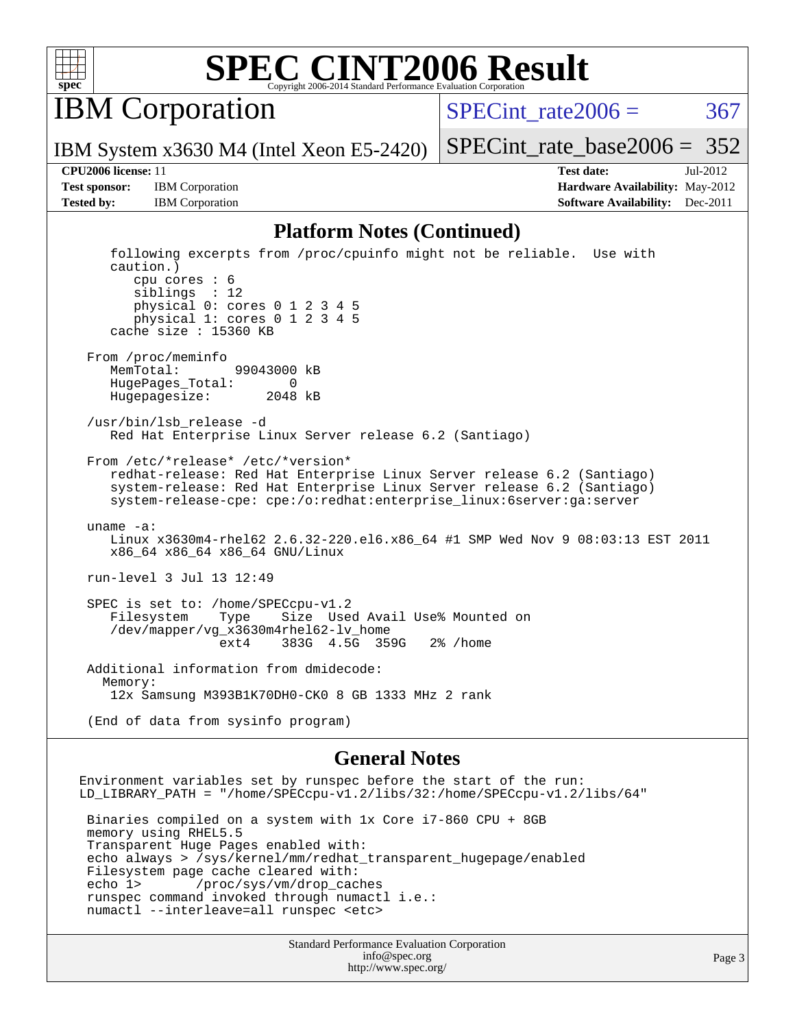

IBM Corporation

SPECint rate $2006 = 367$ 

[SPECint\\_rate\\_base2006 =](http://www.spec.org/auto/cpu2006/Docs/result-fields.html#SPECintratebase2006)  $352$ 

IBM System x3630 M4 (Intel Xeon E5-2420)

**[CPU2006 license:](http://www.spec.org/auto/cpu2006/Docs/result-fields.html#CPU2006license)** 11 **[Test date:](http://www.spec.org/auto/cpu2006/Docs/result-fields.html#Testdate)** Jul-2012 **[Test sponsor:](http://www.spec.org/auto/cpu2006/Docs/result-fields.html#Testsponsor)** IBM Corporation **[Hardware Availability:](http://www.spec.org/auto/cpu2006/Docs/result-fields.html#HardwareAvailability)** May-2012 **[Tested by:](http://www.spec.org/auto/cpu2006/Docs/result-fields.html#Testedby)** IBM Corporation **IBM** Corporation **[Software Availability:](http://www.spec.org/auto/cpu2006/Docs/result-fields.html#SoftwareAvailability)** Dec-2011

### **[Platform Notes \(Continued\)](http://www.spec.org/auto/cpu2006/Docs/result-fields.html#PlatformNotes)**

 following excerpts from /proc/cpuinfo might not be reliable. Use with caution.) cpu cores : 6 siblings : 12 physical 0: cores 0 1 2 3 4 5 physical 1: cores 0 1 2 3 4 5 cache size : 15360 KB From /proc/meminfo MemTotal: 99043000 kB HugePages\_Total: 0 Hugepagesize: 2048 kB /usr/bin/lsb\_release -d Red Hat Enterprise Linux Server release 6.2 (Santiago) From /etc/\*release\* /etc/\*version\* redhat-release: Red Hat Enterprise Linux Server release 6.2 (Santiago) system-release: Red Hat Enterprise Linux Server release 6.2 (Santiago) system-release-cpe: cpe:/o:redhat:enterprise\_linux:6server:ga:server uname -a: Linux x3630m4-rhel62 2.6.32-220.el6.x86\_64 #1 SMP Wed Nov 9 08:03:13 EST 2011 x86\_64 x86\_64 x86\_64 GNU/Linux run-level 3 Jul 13 12:49 SPEC is set to: /home/SPECcpu-v1.2<br>Filesystem Type Size Use Filesystem Type Size Used Avail Use% Mounted on /dev/mapper/vg\_x3630m4rhel62-lv\_home ext4 383G 4.5G 359G 2% /home Additional information from dmidecode: Memory: 12x Samsung M393B1K70DH0-CK0 8 GB 1333 MHz 2 rank (End of data from sysinfo program)

### **[General Notes](http://www.spec.org/auto/cpu2006/Docs/result-fields.html#GeneralNotes)**

Environment variables set by runspec before the start of the run: LD\_LIBRARY\_PATH = "/home/SPECcpu-v1.2/libs/32:/home/SPECcpu-v1.2/libs/64" Binaries compiled on a system with 1x Core i7-860 CPU + 8GB memory using RHEL5.5 Transparent Huge Pages enabled with: echo always > /sys/kernel/mm/redhat\_transparent\_hugepage/enabled Filesystem page cache cleared with: echo 1> /proc/sys/vm/drop\_caches runspec command invoked through numactl i.e.: numactl --interleave=all runspec <etc>

> Standard Performance Evaluation Corporation [info@spec.org](mailto:info@spec.org) <http://www.spec.org/>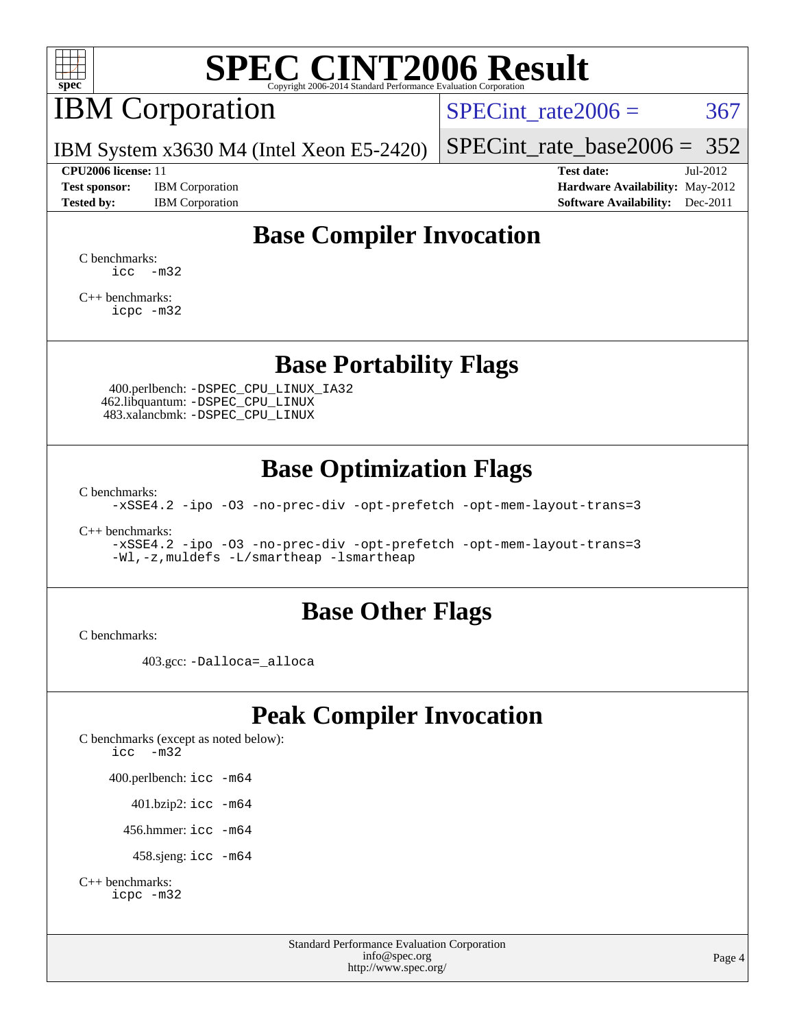

# IBM Corporation

SPECint rate $2006 = 367$ 

IBM System x3630 M4 (Intel Xeon E5-2420)

#### **[CPU2006 license:](http://www.spec.org/auto/cpu2006/Docs/result-fields.html#CPU2006license)** 11 **[Test date:](http://www.spec.org/auto/cpu2006/Docs/result-fields.html#Testdate)** Jul-2012

**[Test sponsor:](http://www.spec.org/auto/cpu2006/Docs/result-fields.html#Testsponsor)** IBM Corporation **[Hardware Availability:](http://www.spec.org/auto/cpu2006/Docs/result-fields.html#HardwareAvailability)** May-2012

[SPECint\\_rate\\_base2006 =](http://www.spec.org/auto/cpu2006/Docs/result-fields.html#SPECintratebase2006)  $352$ 

**[Tested by:](http://www.spec.org/auto/cpu2006/Docs/result-fields.html#Testedby)** IBM Corporation **[Software Availability:](http://www.spec.org/auto/cpu2006/Docs/result-fields.html#SoftwareAvailability)** Dec-2011

### **[Base Compiler Invocation](http://www.spec.org/auto/cpu2006/Docs/result-fields.html#BaseCompilerInvocation)**

[C benchmarks](http://www.spec.org/auto/cpu2006/Docs/result-fields.html#Cbenchmarks):  $\text{icc}$   $-\text{m32}$ 

[C++ benchmarks:](http://www.spec.org/auto/cpu2006/Docs/result-fields.html#CXXbenchmarks) [icpc -m32](http://www.spec.org/cpu2006/results/res2012q3/cpu2006-20120725-23860.flags.html#user_CXXbase_intel_icpc_4e5a5ef1a53fd332b3c49e69c3330699)

### **[Base Portability Flags](http://www.spec.org/auto/cpu2006/Docs/result-fields.html#BasePortabilityFlags)**

 400.perlbench: [-DSPEC\\_CPU\\_LINUX\\_IA32](http://www.spec.org/cpu2006/results/res2012q3/cpu2006-20120725-23860.flags.html#b400.perlbench_baseCPORTABILITY_DSPEC_CPU_LINUX_IA32) 462.libquantum: [-DSPEC\\_CPU\\_LINUX](http://www.spec.org/cpu2006/results/res2012q3/cpu2006-20120725-23860.flags.html#b462.libquantum_baseCPORTABILITY_DSPEC_CPU_LINUX) 483.xalancbmk: [-DSPEC\\_CPU\\_LINUX](http://www.spec.org/cpu2006/results/res2012q3/cpu2006-20120725-23860.flags.html#b483.xalancbmk_baseCXXPORTABILITY_DSPEC_CPU_LINUX)

### **[Base Optimization Flags](http://www.spec.org/auto/cpu2006/Docs/result-fields.html#BaseOptimizationFlags)**

[C benchmarks](http://www.spec.org/auto/cpu2006/Docs/result-fields.html#Cbenchmarks):

[-xSSE4.2](http://www.spec.org/cpu2006/results/res2012q3/cpu2006-20120725-23860.flags.html#user_CCbase_f-xSSE42_f91528193cf0b216347adb8b939d4107) [-ipo](http://www.spec.org/cpu2006/results/res2012q3/cpu2006-20120725-23860.flags.html#user_CCbase_f-ipo) [-O3](http://www.spec.org/cpu2006/results/res2012q3/cpu2006-20120725-23860.flags.html#user_CCbase_f-O3) [-no-prec-div](http://www.spec.org/cpu2006/results/res2012q3/cpu2006-20120725-23860.flags.html#user_CCbase_f-no-prec-div) [-opt-prefetch](http://www.spec.org/cpu2006/results/res2012q3/cpu2006-20120725-23860.flags.html#user_CCbase_f-opt-prefetch) [-opt-mem-layout-trans=3](http://www.spec.org/cpu2006/results/res2012q3/cpu2006-20120725-23860.flags.html#user_CCbase_f-opt-mem-layout-trans_a7b82ad4bd7abf52556d4961a2ae94d5)

[C++ benchmarks:](http://www.spec.org/auto/cpu2006/Docs/result-fields.html#CXXbenchmarks)

[-xSSE4.2](http://www.spec.org/cpu2006/results/res2012q3/cpu2006-20120725-23860.flags.html#user_CXXbase_f-xSSE42_f91528193cf0b216347adb8b939d4107) [-ipo](http://www.spec.org/cpu2006/results/res2012q3/cpu2006-20120725-23860.flags.html#user_CXXbase_f-ipo) [-O3](http://www.spec.org/cpu2006/results/res2012q3/cpu2006-20120725-23860.flags.html#user_CXXbase_f-O3) [-no-prec-div](http://www.spec.org/cpu2006/results/res2012q3/cpu2006-20120725-23860.flags.html#user_CXXbase_f-no-prec-div) [-opt-prefetch](http://www.spec.org/cpu2006/results/res2012q3/cpu2006-20120725-23860.flags.html#user_CXXbase_f-opt-prefetch) [-opt-mem-layout-trans=3](http://www.spec.org/cpu2006/results/res2012q3/cpu2006-20120725-23860.flags.html#user_CXXbase_f-opt-mem-layout-trans_a7b82ad4bd7abf52556d4961a2ae94d5) [-Wl,-z,muldefs](http://www.spec.org/cpu2006/results/res2012q3/cpu2006-20120725-23860.flags.html#user_CXXbase_link_force_multiple1_74079c344b956b9658436fd1b6dd3a8a) [-L/smartheap -lsmartheap](http://www.spec.org/cpu2006/results/res2012q3/cpu2006-20120725-23860.flags.html#user_CXXbase_SmartHeap_7c9e394a5779e1a7fec7c221e123830c)

### **[Base Other Flags](http://www.spec.org/auto/cpu2006/Docs/result-fields.html#BaseOtherFlags)**

[C benchmarks](http://www.spec.org/auto/cpu2006/Docs/result-fields.html#Cbenchmarks):

403.gcc: [-Dalloca=\\_alloca](http://www.spec.org/cpu2006/results/res2012q3/cpu2006-20120725-23860.flags.html#b403.gcc_baseEXTRA_CFLAGS_Dalloca_be3056838c12de2578596ca5467af7f3)

## **[Peak Compiler Invocation](http://www.spec.org/auto/cpu2006/Docs/result-fields.html#PeakCompilerInvocation)**

[C benchmarks \(except as noted below\)](http://www.spec.org/auto/cpu2006/Docs/result-fields.html#Cbenchmarksexceptasnotedbelow): [icc -m32](http://www.spec.org/cpu2006/results/res2012q3/cpu2006-20120725-23860.flags.html#user_CCpeak_intel_icc_5ff4a39e364c98233615fdd38438c6f2) 400.perlbench: [icc -m64](http://www.spec.org/cpu2006/results/res2012q3/cpu2006-20120725-23860.flags.html#user_peakCCLD400_perlbench_intel_icc_64bit_bda6cc9af1fdbb0edc3795bac97ada53) 401.bzip2: [icc -m64](http://www.spec.org/cpu2006/results/res2012q3/cpu2006-20120725-23860.flags.html#user_peakCCLD401_bzip2_intel_icc_64bit_bda6cc9af1fdbb0edc3795bac97ada53)

456.hmmer: [icc -m64](http://www.spec.org/cpu2006/results/res2012q3/cpu2006-20120725-23860.flags.html#user_peakCCLD456_hmmer_intel_icc_64bit_bda6cc9af1fdbb0edc3795bac97ada53)

458.sjeng: [icc -m64](http://www.spec.org/cpu2006/results/res2012q3/cpu2006-20120725-23860.flags.html#user_peakCCLD458_sjeng_intel_icc_64bit_bda6cc9af1fdbb0edc3795bac97ada53)

```
C++ benchmarks: 
icpc -m32
```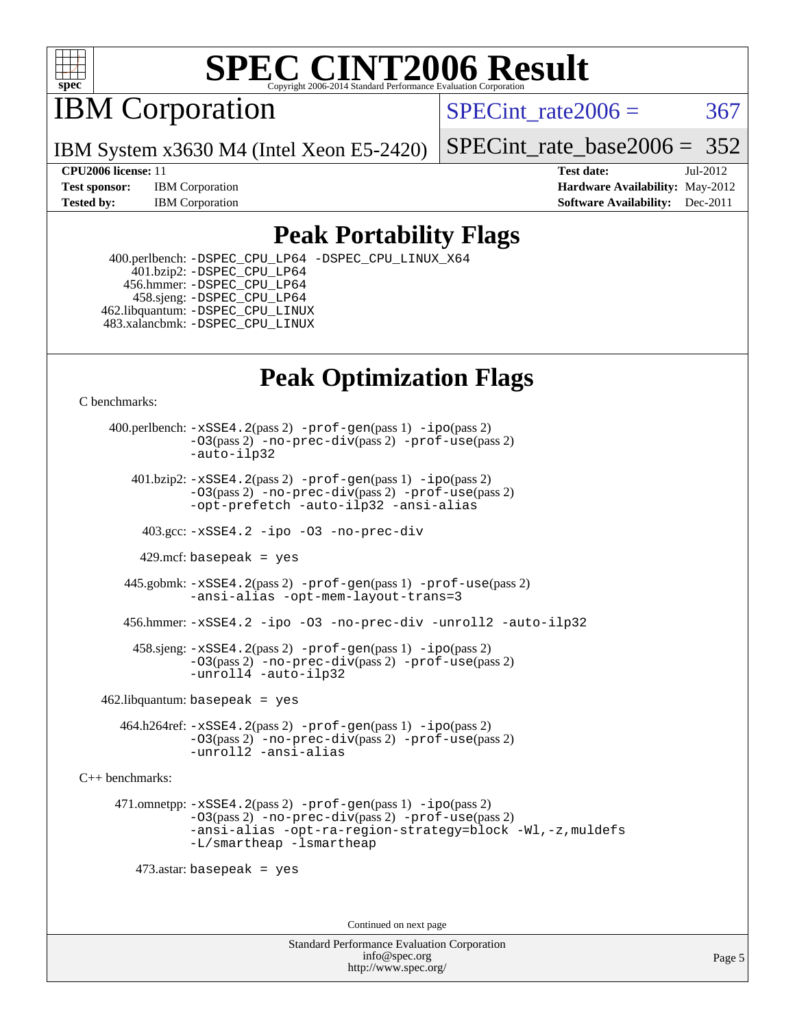

IBM Corporation

SPECint rate $2006 = 367$ 

IBM System x3630 M4 (Intel Xeon E5-2420)

[SPECint\\_rate\\_base2006 =](http://www.spec.org/auto/cpu2006/Docs/result-fields.html#SPECintratebase2006) 352

**[CPU2006 license:](http://www.spec.org/auto/cpu2006/Docs/result-fields.html#CPU2006license)** 11 **[Test date:](http://www.spec.org/auto/cpu2006/Docs/result-fields.html#Testdate)** Jul-2012 **[Test sponsor:](http://www.spec.org/auto/cpu2006/Docs/result-fields.html#Testsponsor)** IBM Corporation **[Hardware Availability:](http://www.spec.org/auto/cpu2006/Docs/result-fields.html#HardwareAvailability)** May-2012 **[Tested by:](http://www.spec.org/auto/cpu2006/Docs/result-fields.html#Testedby)** IBM Corporation **[Software Availability:](http://www.spec.org/auto/cpu2006/Docs/result-fields.html#SoftwareAvailability)** Dec-2011

### **[Peak Portability Flags](http://www.spec.org/auto/cpu2006/Docs/result-fields.html#PeakPortabilityFlags)**

 400.perlbench: [-DSPEC\\_CPU\\_LP64](http://www.spec.org/cpu2006/results/res2012q3/cpu2006-20120725-23860.flags.html#b400.perlbench_peakCPORTABILITY_DSPEC_CPU_LP64) [-DSPEC\\_CPU\\_LINUX\\_X64](http://www.spec.org/cpu2006/results/res2012q3/cpu2006-20120725-23860.flags.html#b400.perlbench_peakCPORTABILITY_DSPEC_CPU_LINUX_X64) 401.bzip2: [-DSPEC\\_CPU\\_LP64](http://www.spec.org/cpu2006/results/res2012q3/cpu2006-20120725-23860.flags.html#suite_peakCPORTABILITY401_bzip2_DSPEC_CPU_LP64) 456.hmmer: [-DSPEC\\_CPU\\_LP64](http://www.spec.org/cpu2006/results/res2012q3/cpu2006-20120725-23860.flags.html#suite_peakCPORTABILITY456_hmmer_DSPEC_CPU_LP64) 458.sjeng: [-DSPEC\\_CPU\\_LP64](http://www.spec.org/cpu2006/results/res2012q3/cpu2006-20120725-23860.flags.html#suite_peakCPORTABILITY458_sjeng_DSPEC_CPU_LP64) 462.libquantum: [-DSPEC\\_CPU\\_LINUX](http://www.spec.org/cpu2006/results/res2012q3/cpu2006-20120725-23860.flags.html#b462.libquantum_peakCPORTABILITY_DSPEC_CPU_LINUX) 483.xalancbmk: [-DSPEC\\_CPU\\_LINUX](http://www.spec.org/cpu2006/results/res2012q3/cpu2006-20120725-23860.flags.html#b483.xalancbmk_peakCXXPORTABILITY_DSPEC_CPU_LINUX)

## **[Peak Optimization Flags](http://www.spec.org/auto/cpu2006/Docs/result-fields.html#PeakOptimizationFlags)**

[C benchmarks](http://www.spec.org/auto/cpu2006/Docs/result-fields.html#Cbenchmarks):

 400.perlbench: [-xSSE4.2](http://www.spec.org/cpu2006/results/res2012q3/cpu2006-20120725-23860.flags.html#user_peakPASS2_CFLAGSPASS2_LDCFLAGS400_perlbench_f-xSSE42_f91528193cf0b216347adb8b939d4107)(pass 2) [-prof-gen](http://www.spec.org/cpu2006/results/res2012q3/cpu2006-20120725-23860.flags.html#user_peakPASS1_CFLAGSPASS1_LDCFLAGS400_perlbench_prof_gen_e43856698f6ca7b7e442dfd80e94a8fc)(pass 1) [-ipo](http://www.spec.org/cpu2006/results/res2012q3/cpu2006-20120725-23860.flags.html#user_peakPASS2_CFLAGSPASS2_LDCFLAGS400_perlbench_f-ipo)(pass 2) [-O3](http://www.spec.org/cpu2006/results/res2012q3/cpu2006-20120725-23860.flags.html#user_peakPASS2_CFLAGSPASS2_LDCFLAGS400_perlbench_f-O3)(pass 2) [-no-prec-div](http://www.spec.org/cpu2006/results/res2012q3/cpu2006-20120725-23860.flags.html#user_peakPASS2_CFLAGSPASS2_LDCFLAGS400_perlbench_f-no-prec-div)(pass 2) [-prof-use](http://www.spec.org/cpu2006/results/res2012q3/cpu2006-20120725-23860.flags.html#user_peakPASS2_CFLAGSPASS2_LDCFLAGS400_perlbench_prof_use_bccf7792157ff70d64e32fe3e1250b55)(pass 2) [-auto-ilp32](http://www.spec.org/cpu2006/results/res2012q3/cpu2006-20120725-23860.flags.html#user_peakCOPTIMIZE400_perlbench_f-auto-ilp32)  $401.bzip2: -xSSE4.2(pass 2) -prof-qen(pass 1) -ipo(pass 2)$  $401.bzip2: -xSSE4.2(pass 2) -prof-qen(pass 1) -ipo(pass 2)$  $401.bzip2: -xSSE4.2(pass 2) -prof-qen(pass 1) -ipo(pass 2)$  $401.bzip2: -xSSE4.2(pass 2) -prof-qen(pass 1) -ipo(pass 2)$  $401.bzip2: -xSSE4.2(pass 2) -prof-qen(pass 1) -ipo(pass 2)$ [-O3](http://www.spec.org/cpu2006/results/res2012q3/cpu2006-20120725-23860.flags.html#user_peakPASS2_CFLAGSPASS2_LDCFLAGS401_bzip2_f-O3)(pass 2) [-no-prec-div](http://www.spec.org/cpu2006/results/res2012q3/cpu2006-20120725-23860.flags.html#user_peakPASS2_CFLAGSPASS2_LDCFLAGS401_bzip2_f-no-prec-div)(pass 2) [-prof-use](http://www.spec.org/cpu2006/results/res2012q3/cpu2006-20120725-23860.flags.html#user_peakPASS2_CFLAGSPASS2_LDCFLAGS401_bzip2_prof_use_bccf7792157ff70d64e32fe3e1250b55)(pass 2) [-opt-prefetch](http://www.spec.org/cpu2006/results/res2012q3/cpu2006-20120725-23860.flags.html#user_peakCOPTIMIZE401_bzip2_f-opt-prefetch) [-auto-ilp32](http://www.spec.org/cpu2006/results/res2012q3/cpu2006-20120725-23860.flags.html#user_peakCOPTIMIZE401_bzip2_f-auto-ilp32) [-ansi-alias](http://www.spec.org/cpu2006/results/res2012q3/cpu2006-20120725-23860.flags.html#user_peakCOPTIMIZE401_bzip2_f-ansi-alias) 403.gcc: [-xSSE4.2](http://www.spec.org/cpu2006/results/res2012q3/cpu2006-20120725-23860.flags.html#user_peakCOPTIMIZE403_gcc_f-xSSE42_f91528193cf0b216347adb8b939d4107) [-ipo](http://www.spec.org/cpu2006/results/res2012q3/cpu2006-20120725-23860.flags.html#user_peakCOPTIMIZE403_gcc_f-ipo) [-O3](http://www.spec.org/cpu2006/results/res2012q3/cpu2006-20120725-23860.flags.html#user_peakCOPTIMIZE403_gcc_f-O3) [-no-prec-div](http://www.spec.org/cpu2006/results/res2012q3/cpu2006-20120725-23860.flags.html#user_peakCOPTIMIZE403_gcc_f-no-prec-div) 429.mcf: basepeak = yes 445.gobmk: [-xSSE4.2](http://www.spec.org/cpu2006/results/res2012q3/cpu2006-20120725-23860.flags.html#user_peakPASS2_CFLAGSPASS2_LDCFLAGS445_gobmk_f-xSSE42_f91528193cf0b216347adb8b939d4107)(pass 2) [-prof-gen](http://www.spec.org/cpu2006/results/res2012q3/cpu2006-20120725-23860.flags.html#user_peakPASS1_CFLAGSPASS1_LDCFLAGS445_gobmk_prof_gen_e43856698f6ca7b7e442dfd80e94a8fc)(pass 1) [-prof-use](http://www.spec.org/cpu2006/results/res2012q3/cpu2006-20120725-23860.flags.html#user_peakPASS2_CFLAGSPASS2_LDCFLAGS445_gobmk_prof_use_bccf7792157ff70d64e32fe3e1250b55)(pass 2) [-ansi-alias](http://www.spec.org/cpu2006/results/res2012q3/cpu2006-20120725-23860.flags.html#user_peakCOPTIMIZE445_gobmk_f-ansi-alias) [-opt-mem-layout-trans=3](http://www.spec.org/cpu2006/results/res2012q3/cpu2006-20120725-23860.flags.html#user_peakCOPTIMIZE445_gobmk_f-opt-mem-layout-trans_a7b82ad4bd7abf52556d4961a2ae94d5) 456.hmmer: [-xSSE4.2](http://www.spec.org/cpu2006/results/res2012q3/cpu2006-20120725-23860.flags.html#user_peakCOPTIMIZE456_hmmer_f-xSSE42_f91528193cf0b216347adb8b939d4107) [-ipo](http://www.spec.org/cpu2006/results/res2012q3/cpu2006-20120725-23860.flags.html#user_peakCOPTIMIZE456_hmmer_f-ipo) [-O3](http://www.spec.org/cpu2006/results/res2012q3/cpu2006-20120725-23860.flags.html#user_peakCOPTIMIZE456_hmmer_f-O3) [-no-prec-div](http://www.spec.org/cpu2006/results/res2012q3/cpu2006-20120725-23860.flags.html#user_peakCOPTIMIZE456_hmmer_f-no-prec-div) [-unroll2](http://www.spec.org/cpu2006/results/res2012q3/cpu2006-20120725-23860.flags.html#user_peakCOPTIMIZE456_hmmer_f-unroll_784dae83bebfb236979b41d2422d7ec2) [-auto-ilp32](http://www.spec.org/cpu2006/results/res2012q3/cpu2006-20120725-23860.flags.html#user_peakCOPTIMIZE456_hmmer_f-auto-ilp32) 458.sjeng: [-xSSE4.2](http://www.spec.org/cpu2006/results/res2012q3/cpu2006-20120725-23860.flags.html#user_peakPASS2_CFLAGSPASS2_LDCFLAGS458_sjeng_f-xSSE42_f91528193cf0b216347adb8b939d4107)(pass 2) [-prof-gen](http://www.spec.org/cpu2006/results/res2012q3/cpu2006-20120725-23860.flags.html#user_peakPASS1_CFLAGSPASS1_LDCFLAGS458_sjeng_prof_gen_e43856698f6ca7b7e442dfd80e94a8fc)(pass 1) [-ipo](http://www.spec.org/cpu2006/results/res2012q3/cpu2006-20120725-23860.flags.html#user_peakPASS2_CFLAGSPASS2_LDCFLAGS458_sjeng_f-ipo)(pass 2) [-O3](http://www.spec.org/cpu2006/results/res2012q3/cpu2006-20120725-23860.flags.html#user_peakPASS2_CFLAGSPASS2_LDCFLAGS458_sjeng_f-O3)(pass 2) [-no-prec-div](http://www.spec.org/cpu2006/results/res2012q3/cpu2006-20120725-23860.flags.html#user_peakPASS2_CFLAGSPASS2_LDCFLAGS458_sjeng_f-no-prec-div)(pass 2) [-prof-use](http://www.spec.org/cpu2006/results/res2012q3/cpu2006-20120725-23860.flags.html#user_peakPASS2_CFLAGSPASS2_LDCFLAGS458_sjeng_prof_use_bccf7792157ff70d64e32fe3e1250b55)(pass 2) [-unroll4](http://www.spec.org/cpu2006/results/res2012q3/cpu2006-20120725-23860.flags.html#user_peakCOPTIMIZE458_sjeng_f-unroll_4e5e4ed65b7fd20bdcd365bec371b81f) [-auto-ilp32](http://www.spec.org/cpu2006/results/res2012q3/cpu2006-20120725-23860.flags.html#user_peakCOPTIMIZE458_sjeng_f-auto-ilp32)  $462$ .libquantum: basepeak = yes 464.h264ref: [-xSSE4.2](http://www.spec.org/cpu2006/results/res2012q3/cpu2006-20120725-23860.flags.html#user_peakPASS2_CFLAGSPASS2_LDCFLAGS464_h264ref_f-xSSE42_f91528193cf0b216347adb8b939d4107)(pass 2) [-prof-gen](http://www.spec.org/cpu2006/results/res2012q3/cpu2006-20120725-23860.flags.html#user_peakPASS1_CFLAGSPASS1_LDCFLAGS464_h264ref_prof_gen_e43856698f6ca7b7e442dfd80e94a8fc)(pass 1) [-ipo](http://www.spec.org/cpu2006/results/res2012q3/cpu2006-20120725-23860.flags.html#user_peakPASS2_CFLAGSPASS2_LDCFLAGS464_h264ref_f-ipo)(pass 2) [-O3](http://www.spec.org/cpu2006/results/res2012q3/cpu2006-20120725-23860.flags.html#user_peakPASS2_CFLAGSPASS2_LDCFLAGS464_h264ref_f-O3)(pass 2) [-no-prec-div](http://www.spec.org/cpu2006/results/res2012q3/cpu2006-20120725-23860.flags.html#user_peakPASS2_CFLAGSPASS2_LDCFLAGS464_h264ref_f-no-prec-div)(pass 2) [-prof-use](http://www.spec.org/cpu2006/results/res2012q3/cpu2006-20120725-23860.flags.html#user_peakPASS2_CFLAGSPASS2_LDCFLAGS464_h264ref_prof_use_bccf7792157ff70d64e32fe3e1250b55)(pass 2) [-unroll2](http://www.spec.org/cpu2006/results/res2012q3/cpu2006-20120725-23860.flags.html#user_peakCOPTIMIZE464_h264ref_f-unroll_784dae83bebfb236979b41d2422d7ec2) [-ansi-alias](http://www.spec.org/cpu2006/results/res2012q3/cpu2006-20120725-23860.flags.html#user_peakCOPTIMIZE464_h264ref_f-ansi-alias) [C++ benchmarks:](http://www.spec.org/auto/cpu2006/Docs/result-fields.html#CXXbenchmarks) 471.omnetpp: [-xSSE4.2](http://www.spec.org/cpu2006/results/res2012q3/cpu2006-20120725-23860.flags.html#user_peakPASS2_CXXFLAGSPASS2_LDCXXFLAGS471_omnetpp_f-xSSE42_f91528193cf0b216347adb8b939d4107)(pass 2) [-prof-gen](http://www.spec.org/cpu2006/results/res2012q3/cpu2006-20120725-23860.flags.html#user_peakPASS1_CXXFLAGSPASS1_LDCXXFLAGS471_omnetpp_prof_gen_e43856698f6ca7b7e442dfd80e94a8fc)(pass 1) [-ipo](http://www.spec.org/cpu2006/results/res2012q3/cpu2006-20120725-23860.flags.html#user_peakPASS2_CXXFLAGSPASS2_LDCXXFLAGS471_omnetpp_f-ipo)(pass 2) [-O3](http://www.spec.org/cpu2006/results/res2012q3/cpu2006-20120725-23860.flags.html#user_peakPASS2_CXXFLAGSPASS2_LDCXXFLAGS471_omnetpp_f-O3)(pass 2) [-no-prec-div](http://www.spec.org/cpu2006/results/res2012q3/cpu2006-20120725-23860.flags.html#user_peakPASS2_CXXFLAGSPASS2_LDCXXFLAGS471_omnetpp_f-no-prec-div)(pass 2) [-prof-use](http://www.spec.org/cpu2006/results/res2012q3/cpu2006-20120725-23860.flags.html#user_peakPASS2_CXXFLAGSPASS2_LDCXXFLAGS471_omnetpp_prof_use_bccf7792157ff70d64e32fe3e1250b55)(pass 2) [-ansi-alias](http://www.spec.org/cpu2006/results/res2012q3/cpu2006-20120725-23860.flags.html#user_peakCXXOPTIMIZE471_omnetpp_f-ansi-alias) [-opt-ra-region-strategy=block](http://www.spec.org/cpu2006/results/res2012q3/cpu2006-20120725-23860.flags.html#user_peakCXXOPTIMIZE471_omnetpp_f-opt-ra-region-strategy_a0a37c372d03933b2a18d4af463c1f69) [-Wl,-z,muldefs](http://www.spec.org/cpu2006/results/res2012q3/cpu2006-20120725-23860.flags.html#user_peakEXTRA_LDFLAGS471_omnetpp_link_force_multiple1_74079c344b956b9658436fd1b6dd3a8a) [-L/smartheap -lsmartheap](http://www.spec.org/cpu2006/results/res2012q3/cpu2006-20120725-23860.flags.html#user_peakEXTRA_LIBS471_omnetpp_SmartHeap_7c9e394a5779e1a7fec7c221e123830c) 473.astar: basepeak = yes Continued on next page

> Standard Performance Evaluation Corporation [info@spec.org](mailto:info@spec.org) <http://www.spec.org/>